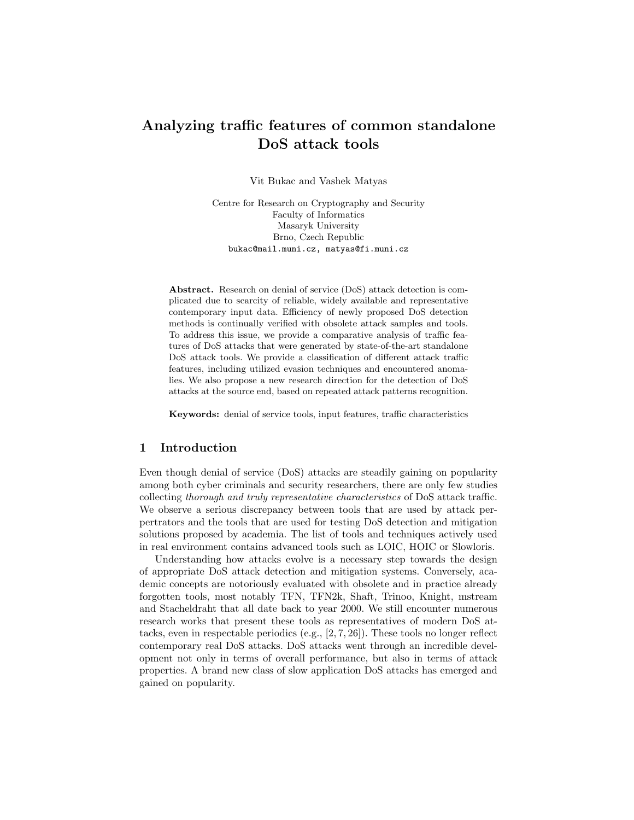# Analyzing traffic features of common standalone DoS attack tools

Vit Bukac and Vashek Matyas

Centre for Research on Cryptography and Security Faculty of Informatics Masaryk University Brno, Czech Republic bukac@mail.muni.cz, matyas@fi.muni.cz

Abstract. Research on denial of service (DoS) attack detection is complicated due to scarcity of reliable, widely available and representative contemporary input data. Efficiency of newly proposed DoS detection methods is continually verified with obsolete attack samples and tools. To address this issue, we provide a comparative analysis of traffic features of DoS attacks that were generated by state-of-the-art standalone DoS attack tools. We provide a classification of different attack traffic features, including utilized evasion techniques and encountered anomalies. We also propose a new research direction for the detection of DoS attacks at the source end, based on repeated attack patterns recognition.

Keywords: denial of service tools, input features, traffic characteristics

## 1 Introduction

Even though denial of service (DoS) attacks are steadily gaining on popularity among both cyber criminals and security researchers, there are only few studies collecting thorough and truly representative characteristics of DoS attack traffic. We observe a serious discrepancy between tools that are used by attack perpertrators and the tools that are used for testing DoS detection and mitigation solutions proposed by academia. The list of tools and techniques actively used in real environment contains advanced tools such as LOIC, HOIC or Slowloris.

Understanding how attacks evolve is a necessary step towards the design of appropriate DoS attack detection and mitigation systems. Conversely, academic concepts are notoriously evaluated with obsolete and in practice already forgotten tools, most notably TFN, TFN2k, Shaft, Trinoo, Knight, mstream and Stacheldraht that all date back to year 2000. We still encounter numerous research works that present these tools as representatives of modern DoS attacks, even in respectable periodics (e.g., [2, 7, 26]). These tools no longer reflect contemporary real DoS attacks. DoS attacks went through an incredible development not only in terms of overall performance, but also in terms of attack properties. A brand new class of slow application DoS attacks has emerged and gained on popularity.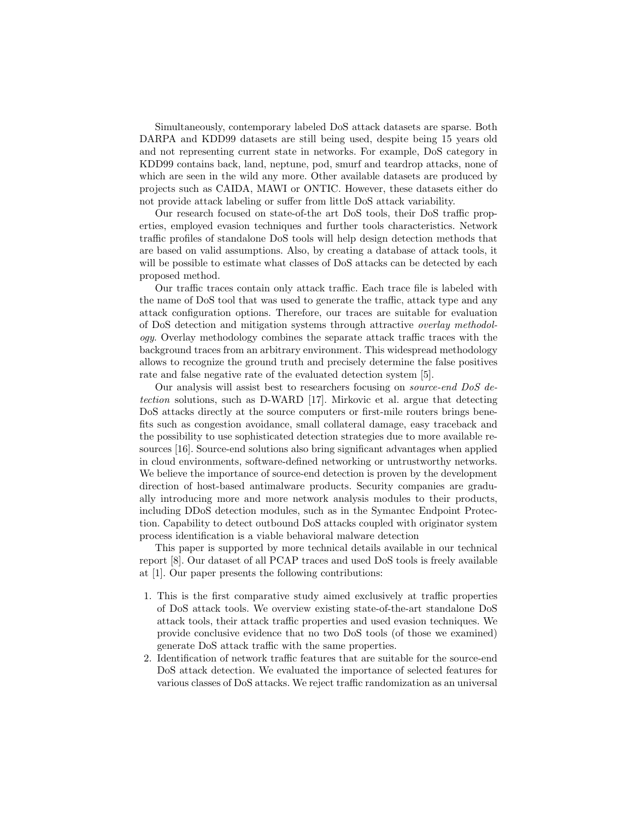Simultaneously, contemporary labeled DoS attack datasets are sparse. Both DARPA and KDD99 datasets are still being used, despite being 15 years old and not representing current state in networks. For example, DoS category in KDD99 contains back, land, neptune, pod, smurf and teardrop attacks, none of which are seen in the wild any more. Other available datasets are produced by projects such as CAIDA, MAWI or ONTIC. However, these datasets either do not provide attack labeling or suffer from little DoS attack variability.

Our research focused on state-of-the art DoS tools, their DoS traffic properties, employed evasion techniques and further tools characteristics. Network traffic profiles of standalone DoS tools will help design detection methods that are based on valid assumptions. Also, by creating a database of attack tools, it will be possible to estimate what classes of DoS attacks can be detected by each proposed method.

Our traffic traces contain only attack traffic. Each trace file is labeled with the name of DoS tool that was used to generate the traffic, attack type and any attack configuration options. Therefore, our traces are suitable for evaluation of DoS detection and mitigation systems through attractive overlay methodology. Overlay methodology combines the separate attack traffic traces with the background traces from an arbitrary environment. This widespread methodology allows to recognize the ground truth and precisely determine the false positives rate and false negative rate of the evaluated detection system [5].

Our analysis will assist best to researchers focusing on source-end DoS detection solutions, such as D-WARD [17]. Mirkovic et al. argue that detecting DoS attacks directly at the source computers or first-mile routers brings benefits such as congestion avoidance, small collateral damage, easy traceback and the possibility to use sophisticated detection strategies due to more available resources [16]. Source-end solutions also bring significant advantages when applied in cloud environments, software-defined networking or untrustworthy networks. We believe the importance of source-end detection is proven by the development direction of host-based antimalware products. Security companies are gradually introducing more and more network analysis modules to their products, including DDoS detection modules, such as in the Symantec Endpoint Protection. Capability to detect outbound DoS attacks coupled with originator system process identification is a viable behavioral malware detection

This paper is supported by more technical details available in our technical report [8]. Our dataset of all PCAP traces and used DoS tools is freely available at [1]. Our paper presents the following contributions:

- 1. This is the first comparative study aimed exclusively at traffic properties of DoS attack tools. We overview existing state-of-the-art standalone DoS attack tools, their attack traffic properties and used evasion techniques. We provide conclusive evidence that no two DoS tools (of those we examined) generate DoS attack traffic with the same properties.
- 2. Identification of network traffic features that are suitable for the source-end DoS attack detection. We evaluated the importance of selected features for various classes of DoS attacks. We reject traffic randomization as an universal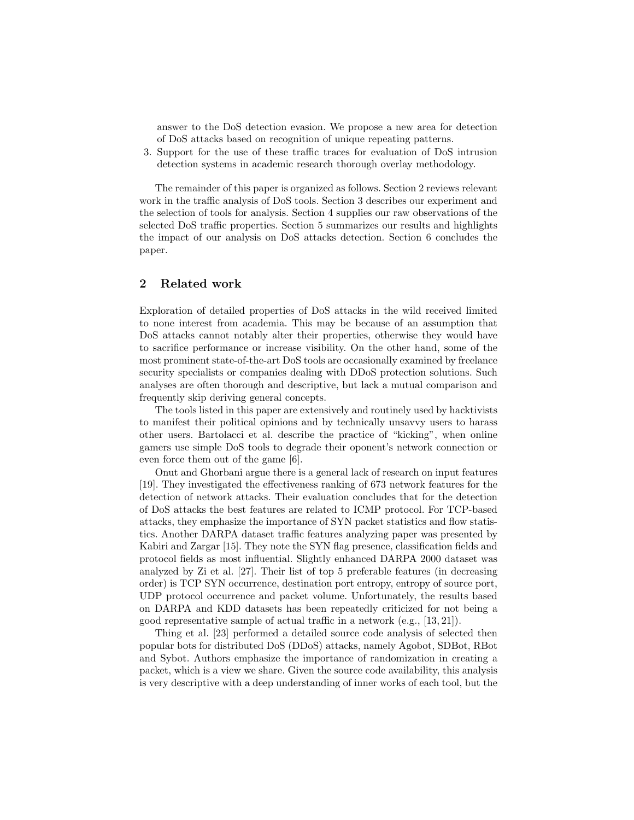answer to the DoS detection evasion. We propose a new area for detection of DoS attacks based on recognition of unique repeating patterns.

3. Support for the use of these traffic traces for evaluation of DoS intrusion detection systems in academic research thorough overlay methodology.

The remainder of this paper is organized as follows. Section 2 reviews relevant work in the traffic analysis of DoS tools. Section 3 describes our experiment and the selection of tools for analysis. Section 4 supplies our raw observations of the selected DoS traffic properties. Section 5 summarizes our results and highlights the impact of our analysis on DoS attacks detection. Section 6 concludes the paper.

# 2 Related work

Exploration of detailed properties of DoS attacks in the wild received limited to none interest from academia. This may be because of an assumption that DoS attacks cannot notably alter their properties, otherwise they would have to sacrifice performance or increase visibility. On the other hand, some of the most prominent state-of-the-art DoS tools are occasionally examined by freelance security specialists or companies dealing with DDoS protection solutions. Such analyses are often thorough and descriptive, but lack a mutual comparison and frequently skip deriving general concepts.

The tools listed in this paper are extensively and routinely used by hacktivists to manifest their political opinions and by technically unsavvy users to harass other users. Bartolacci et al. describe the practice of "kicking", when online gamers use simple DoS tools to degrade their oponent's network connection or even force them out of the game [6].

Onut and Ghorbani argue there is a general lack of research on input features [19]. They investigated the effectiveness ranking of 673 network features for the detection of network attacks. Their evaluation concludes that for the detection of DoS attacks the best features are related to ICMP protocol. For TCP-based attacks, they emphasize the importance of SYN packet statistics and flow statistics. Another DARPA dataset traffic features analyzing paper was presented by Kabiri and Zargar [15]. They note the SYN flag presence, classification fields and protocol fields as most influential. Slightly enhanced DARPA 2000 dataset was analyzed by Zi et al. [27]. Their list of top 5 preferable features (in decreasing order) is TCP SYN occurrence, destination port entropy, entropy of source port, UDP protocol occurrence and packet volume. Unfortunately, the results based on DARPA and KDD datasets has been repeatedly criticized for not being a good representative sample of actual traffic in a network (e.g., [13, 21]).

Thing et al. [23] performed a detailed source code analysis of selected then popular bots for distributed DoS (DDoS) attacks, namely Agobot, SDBot, RBot and Sybot. Authors emphasize the importance of randomization in creating a packet, which is a view we share. Given the source code availability, this analysis is very descriptive with a deep understanding of inner works of each tool, but the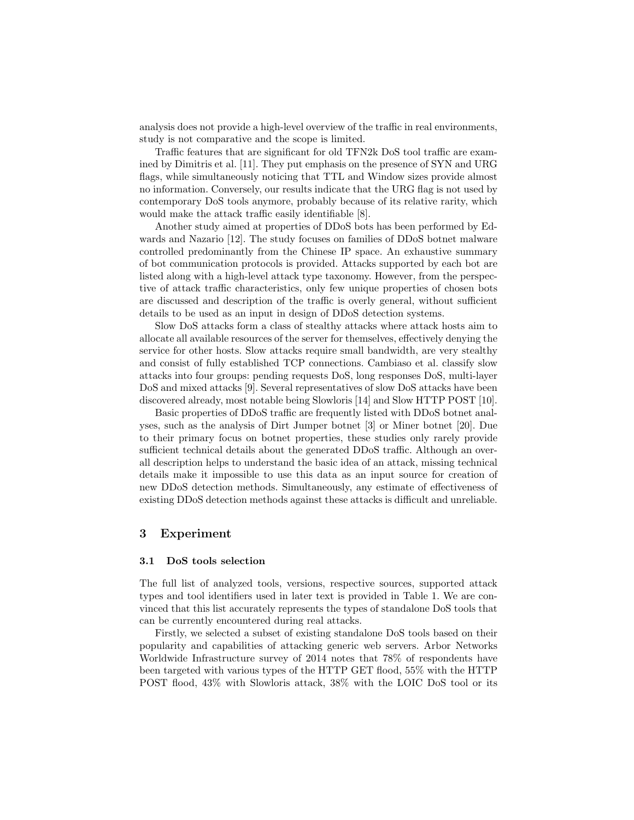analysis does not provide a high-level overview of the traffic in real environments, study is not comparative and the scope is limited.

Traffic features that are significant for old TFN2k DoS tool traffic are examined by Dimitris et al. [11]. They put emphasis on the presence of SYN and URG flags, while simultaneously noticing that TTL and Window sizes provide almost no information. Conversely, our results indicate that the URG flag is not used by contemporary DoS tools anymore, probably because of its relative rarity, which would make the attack traffic easily identifiable [8].

Another study aimed at properties of DDoS bots has been performed by Edwards and Nazario [12]. The study focuses on families of DDoS botnet malware controlled predominantly from the Chinese IP space. An exhaustive summary of bot communication protocols is provided. Attacks supported by each bot are listed along with a high-level attack type taxonomy. However, from the perspective of attack traffic characteristics, only few unique properties of chosen bots are discussed and description of the traffic is overly general, without sufficient details to be used as an input in design of DDoS detection systems.

Slow DoS attacks form a class of stealthy attacks where attack hosts aim to allocate all available resources of the server for themselves, effectively denying the service for other hosts. Slow attacks require small bandwidth, are very stealthy and consist of fully established TCP connections. Cambiaso et al. classify slow attacks into four groups: pending requests DoS, long responses DoS, multi-layer DoS and mixed attacks [9]. Several representatives of slow DoS attacks have been discovered already, most notable being Slowloris [14] and Slow HTTP POST [10].

Basic properties of DDoS traffic are frequently listed with DDoS botnet analyses, such as the analysis of Dirt Jumper botnet [3] or Miner botnet [20]. Due to their primary focus on botnet properties, these studies only rarely provide sufficient technical details about the generated DDoS traffic. Although an overall description helps to understand the basic idea of an attack, missing technical details make it impossible to use this data as an input source for creation of new DDoS detection methods. Simultaneously, any estimate of effectiveness of existing DDoS detection methods against these attacks is difficult and unreliable.

## 3 Experiment

#### 3.1 DoS tools selection

The full list of analyzed tools, versions, respective sources, supported attack types and tool identifiers used in later text is provided in Table 1. We are convinced that this list accurately represents the types of standalone DoS tools that can be currently encountered during real attacks.

Firstly, we selected a subset of existing standalone DoS tools based on their popularity and capabilities of attacking generic web servers. Arbor Networks Worldwide Infrastructure survey of 2014 notes that 78% of respondents have been targeted with various types of the HTTP GET flood, 55% with the HTTP POST flood, 43% with Slowloris attack, 38% with the LOIC DoS tool or its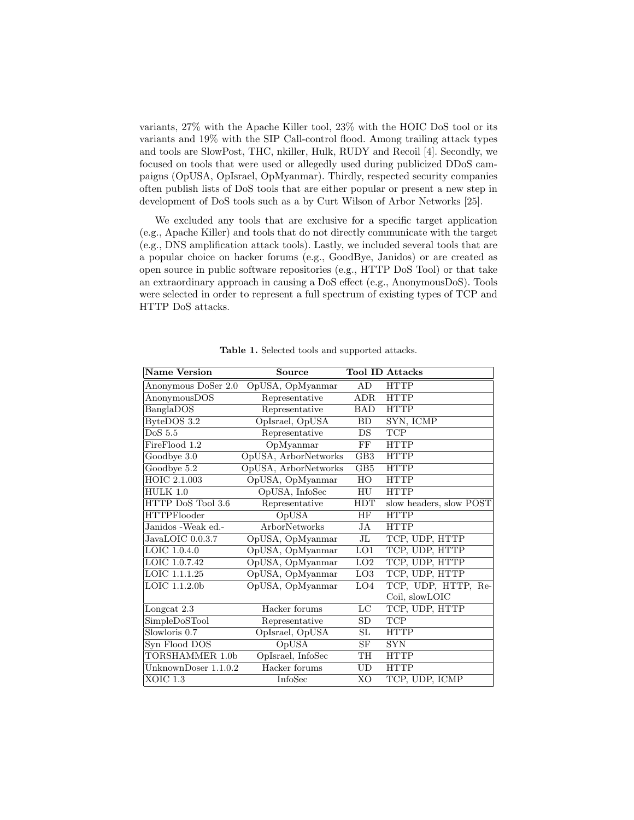variants, 27% with the Apache Killer tool, 23% with the HOIC DoS tool or its variants and 19% with the SIP Call-control flood. Among trailing attack types and tools are SlowPost, THC, nkiller, Hulk, RUDY and Recoil [4]. Secondly, we focused on tools that were used or allegedly used during publicized DDoS campaigns (OpUSA, OpIsrael, OpMyanmar). Thirdly, respected security companies often publish lists of DoS tools that are either popular or present a new step in development of DoS tools such as a by Curt Wilson of Arbor Networks [25].

We excluded any tools that are exclusive for a specific target application (e.g., Apache Killer) and tools that do not directly communicate with the target (e.g., DNS amplification attack tools). Lastly, we included several tools that are a popular choice on hacker forums (e.g., GoodBye, Janidos) or are created as open source in public software repositories (e.g., HTTP DoS Tool) or that take an extraordinary approach in causing a DoS effect (e.g., AnonymousDoS). Tools were selected in order to represent a full spectrum of existing types of TCP and HTTP DoS attacks.

| <b>Name Version</b>    | Source               |                        | <b>Tool ID Attacks</b>  |
|------------------------|----------------------|------------------------|-------------------------|
| Anonymous DoSer 2.0    | OpUSA, OpMyanmar     | AD                     | <b>HTTP</b>             |
| AnonymousDOS           | Representative       | <b>ADR</b>             | <b>HTTP</b>             |
| BanglaDOS              | Representative       | <b>BAD</b>             | <b>HTTP</b>             |
| ByteDOS 3.2            | OpIsrael, OpUSA      | BD                     | SYN, ICMP               |
| DoS <sub>5.5</sub>     | Representative       | DS                     | <b>TCP</b>              |
| FireFlood 1.2          | OpMyanmar            | FF                     | <b>HTTP</b>             |
| Goodbye 3.0            | OpUSA, ArborNetworks | GB <sub>3</sub>        | <b>HTTP</b>             |
| Goodbye 5.2            | OpUSA, ArborNetworks | GB5                    | <b>HTTP</b>             |
| HOIC 2.1.003           | OpUSA, OpMyanmar     | HO                     | <b>HTTP</b>             |
| $HULK$ 1.0             | OpUSA, InfoSec       | HU                     | <b>HTTP</b>             |
| HTTP DoS Tool 3.6      | Representative       | <b>HDT</b>             | slow headers, slow POST |
| <b>HTTPFlooder</b>     | OpUSA                | ΗF                     | <b>HTTP</b>             |
| Janidos -Weak ed.-     | <b>ArborNetworks</b> | JA                     | <b>HTTP</b>             |
| JavaLOIC 0.0.3.7       | OpUSA, OpMyanmar     | $\overline{\text{JL}}$ | TCP, UDP, HTTP          |
| LOIC 1.0.4.0           | OpUSA, OpMyanmar     | LO1                    | TCP, UDP, HTTP          |
| LOIC 1.0.7.42          | OpUSA, OpMyanmar     | LO2                    | TCP, UDP, HTTP          |
| LOIC 1.1.1.25          | OpUSA, OpMyanmar     | LO3                    | TCP, UDP, HTTP          |
| LOIC $1.1.2.0b$        | OpUSA, OpMyanmar     | LO4                    | TCP, UDP, HTTP, Re-     |
|                        |                      |                        | Coil, slowLOIC          |
| Longcat 2.3            | Hacker forums        | LC                     | TCP, UDP, HTTP          |
| SimpleDoSTool          | Representative       | SD                     | <b>TCP</b>              |
| Slowloris 0.7          | OpIsrael, OpUSA      | SL                     | <b>HTTP</b>             |
| Syn Flood DOS          | OpUSA                | SF                     | <b>SYN</b>              |
| <b>TORSHAMMER 1.0b</b> | OpIsrael, InfoSec    | TH                     | <b>HTTP</b>             |
| UnknownDoser 1.1.0.2   | Hacker forums        | UD                     | <b>HTTP</b>             |
| XOIC 1.3               | InfoSec              | X <sub>O</sub>         | TCP, UDP, ICMP          |

Table 1. Selected tools and supported attacks.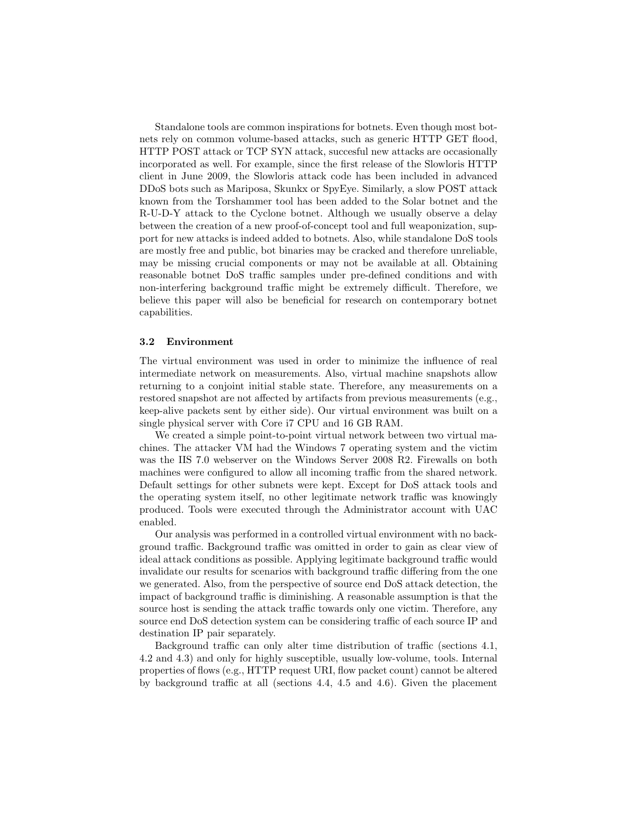Standalone tools are common inspirations for botnets. Even though most botnets rely on common volume-based attacks, such as generic HTTP GET flood, HTTP POST attack or TCP SYN attack, succesful new attacks are occasionally incorporated as well. For example, since the first release of the Slowloris HTTP client in June 2009, the Slowloris attack code has been included in advanced DDoS bots such as Mariposa, Skunkx or SpyEye. Similarly, a slow POST attack known from the Torshammer tool has been added to the Solar botnet and the R-U-D-Y attack to the Cyclone botnet. Although we usually observe a delay between the creation of a new proof-of-concept tool and full weaponization, support for new attacks is indeed added to botnets. Also, while standalone DoS tools are mostly free and public, bot binaries may be cracked and therefore unreliable, may be missing crucial components or may not be available at all. Obtaining reasonable botnet DoS traffic samples under pre-defined conditions and with non-interfering background traffic might be extremely difficult. Therefore, we believe this paper will also be beneficial for research on contemporary botnet capabilities.

#### 3.2 Environment

The virtual environment was used in order to minimize the influence of real intermediate network on measurements. Also, virtual machine snapshots allow returning to a conjoint initial stable state. Therefore, any measurements on a restored snapshot are not affected by artifacts from previous measurements (e.g., keep-alive packets sent by either side). Our virtual environment was built on a single physical server with Core i7 CPU and 16 GB RAM.

We created a simple point-to-point virtual network between two virtual machines. The attacker VM had the Windows 7 operating system and the victim was the IIS 7.0 webserver on the Windows Server 2008 R2. Firewalls on both machines were configured to allow all incoming traffic from the shared network. Default settings for other subnets were kept. Except for DoS attack tools and the operating system itself, no other legitimate network traffic was knowingly produced. Tools were executed through the Administrator account with UAC enabled.

Our analysis was performed in a controlled virtual environment with no background traffic. Background traffic was omitted in order to gain as clear view of ideal attack conditions as possible. Applying legitimate background traffic would invalidate our results for scenarios with background traffic differing from the one we generated. Also, from the perspective of source end DoS attack detection, the impact of background traffic is diminishing. A reasonable assumption is that the source host is sending the attack traffic towards only one victim. Therefore, any source end DoS detection system can be considering traffic of each source IP and destination IP pair separately.

Background traffic can only alter time distribution of traffic (sections 4.1, 4.2 and 4.3) and only for highly susceptible, usually low-volume, tools. Internal properties of flows (e.g., HTTP request URI, flow packet count) cannot be altered by background traffic at all (sections 4.4, 4.5 and 4.6). Given the placement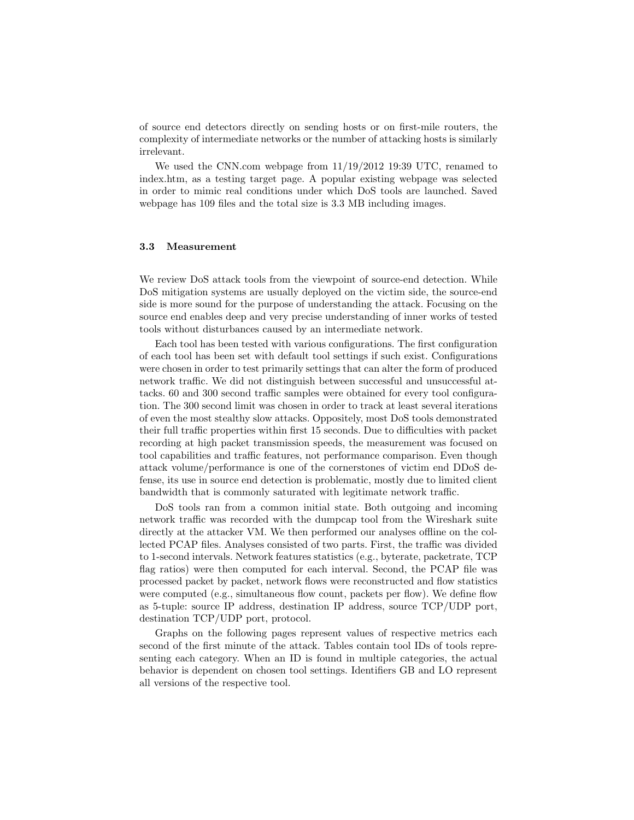of source end detectors directly on sending hosts or on first-mile routers, the complexity of intermediate networks or the number of attacking hosts is similarly irrelevant.

We used the CNN.com webpage from 11/19/2012 19:39 UTC, renamed to index.htm, as a testing target page. A popular existing webpage was selected in order to mimic real conditions under which DoS tools are launched. Saved webpage has 109 files and the total size is 3.3 MB including images.

#### 3.3 Measurement

We review DoS attack tools from the viewpoint of source-end detection. While DoS mitigation systems are usually deployed on the victim side, the source-end side is more sound for the purpose of understanding the attack. Focusing on the source end enables deep and very precise understanding of inner works of tested tools without disturbances caused by an intermediate network.

Each tool has been tested with various configurations. The first configuration of each tool has been set with default tool settings if such exist. Configurations were chosen in order to test primarily settings that can alter the form of produced network traffic. We did not distinguish between successful and unsuccessful attacks. 60 and 300 second traffic samples were obtained for every tool configuration. The 300 second limit was chosen in order to track at least several iterations of even the most stealthy slow attacks. Oppositely, most DoS tools demonstrated their full traffic properties within first 15 seconds. Due to difficulties with packet recording at high packet transmission speeds, the measurement was focused on tool capabilities and traffic features, not performance comparison. Even though attack volume/performance is one of the cornerstones of victim end DDoS defense, its use in source end detection is problematic, mostly due to limited client bandwidth that is commonly saturated with legitimate network traffic.

DoS tools ran from a common initial state. Both outgoing and incoming network traffic was recorded with the dumpcap tool from the Wireshark suite directly at the attacker VM. We then performed our analyses offline on the collected PCAP files. Analyses consisted of two parts. First, the traffic was divided to 1-second intervals. Network features statistics (e.g., byterate, packetrate, TCP flag ratios) were then computed for each interval. Second, the PCAP file was processed packet by packet, network flows were reconstructed and flow statistics were computed (e.g., simultaneous flow count, packets per flow). We define flow as 5-tuple: source IP address, destination IP address, source TCP/UDP port, destination TCP/UDP port, protocol.

Graphs on the following pages represent values of respective metrics each second of the first minute of the attack. Tables contain tool IDs of tools representing each category. When an ID is found in multiple categories, the actual behavior is dependent on chosen tool settings. Identifiers GB and LO represent all versions of the respective tool.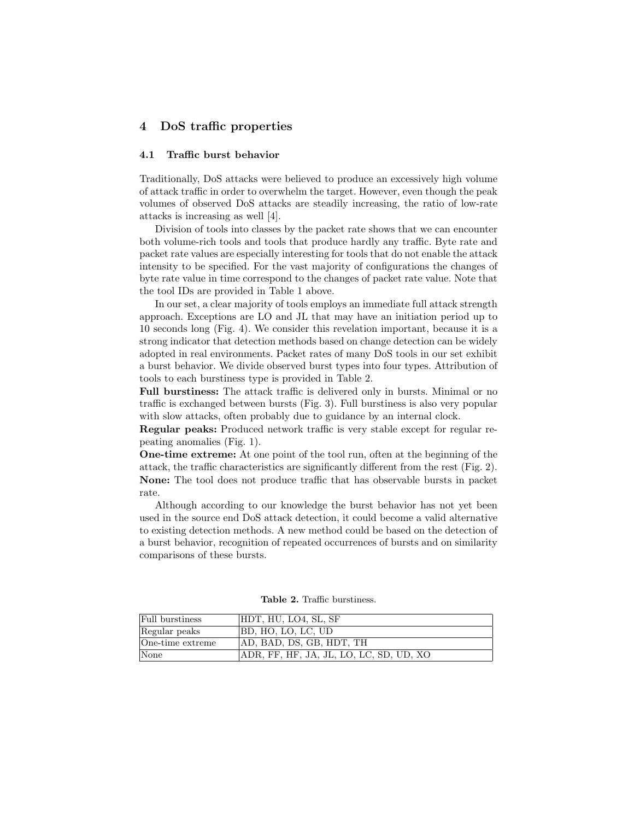## 4 DoS traffic properties

#### 4.1 Traffic burst behavior

Traditionally, DoS attacks were believed to produce an excessively high volume of attack traffic in order to overwhelm the target. However, even though the peak volumes of observed DoS attacks are steadily increasing, the ratio of low-rate attacks is increasing as well [4].

Division of tools into classes by the packet rate shows that we can encounter both volume-rich tools and tools that produce hardly any traffic. Byte rate and packet rate values are especially interesting for tools that do not enable the attack intensity to be specified. For the vast majority of configurations the changes of byte rate value in time correspond to the changes of packet rate value. Note that the tool IDs are provided in Table 1 above.

In our set, a clear majority of tools employs an immediate full attack strength approach. Exceptions are LO and JL that may have an initiation period up to 10 seconds long (Fig. 4). We consider this revelation important, because it is a strong indicator that detection methods based on change detection can be widely adopted in real environments. Packet rates of many DoS tools in our set exhibit a burst behavior. We divide observed burst types into four types. Attribution of tools to each burstiness type is provided in Table 2.

Full burstiness: The attack traffic is delivered only in bursts. Minimal or no traffic is exchanged between bursts (Fig. 3). Full burstiness is also very popular with slow attacks, often probably due to guidance by an internal clock.

Regular peaks: Produced network traffic is very stable except for regular repeating anomalies (Fig. 1).

One-time extreme: At one point of the tool run, often at the beginning of the attack, the traffic characteristics are significantly different from the rest (Fig. 2). None: The tool does not produce traffic that has observable bursts in packet rate.

Although according to our knowledge the burst behavior has not yet been used in the source end DoS attack detection, it could become a valid alternative to existing detection methods. A new method could be based on the detection of a burst behavior, recognition of repeated occurrences of bursts and on similarity comparisons of these bursts.

| Full burstiness  | HDT, HU, LO4, SL, SF                    |
|------------------|-----------------------------------------|
| Regular peaks    | BD. HO. LO. LC. UD                      |
| One-time extreme | AD, BAD, DS, GB, HDT, TH                |
| None             | ADR, FF, HF, JA, JL, LO, LC, SD, UD, XO |

Table 2. Traffic burstiness.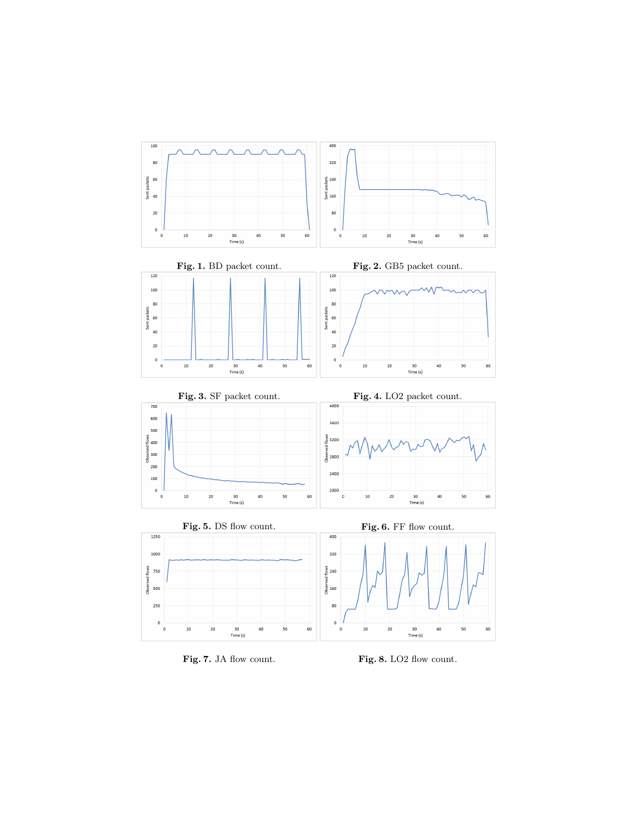

Fig. 7. JA flow count. Fig. 8. LO2 flow count.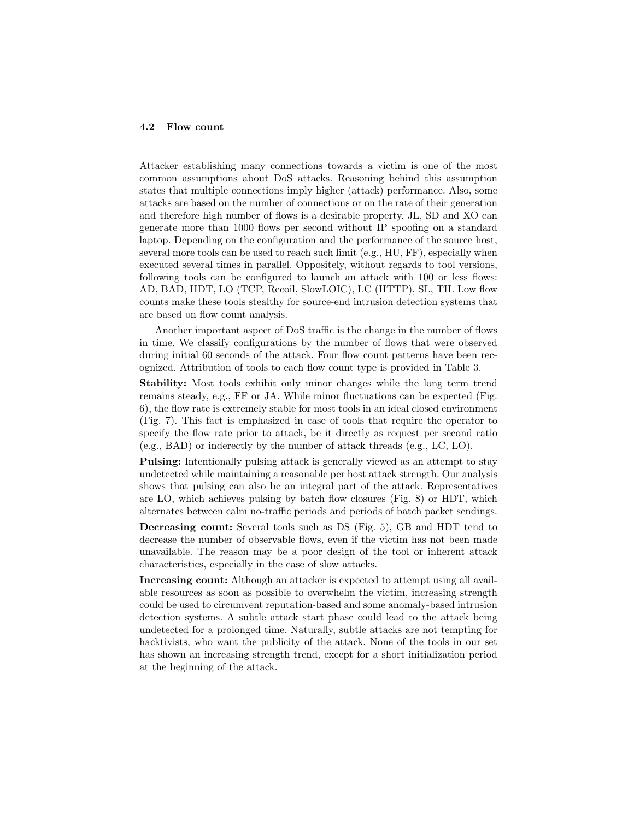#### 4.2 Flow count

Attacker establishing many connections towards a victim is one of the most common assumptions about DoS attacks. Reasoning behind this assumption states that multiple connections imply higher (attack) performance. Also, some attacks are based on the number of connections or on the rate of their generation and therefore high number of flows is a desirable property. JL, SD and XO can generate more than 1000 flows per second without IP spoofing on a standard laptop. Depending on the configuration and the performance of the source host, several more tools can be used to reach such limit (e.g., HU, FF), especially when executed several times in parallel. Oppositely, without regards to tool versions, following tools can be configured to launch an attack with 100 or less flows: AD, BAD, HDT, LO (TCP, Recoil, SlowLOIC), LC (HTTP), SL, TH. Low flow counts make these tools stealthy for source-end intrusion detection systems that are based on flow count analysis.

Another important aspect of DoS traffic is the change in the number of flows in time. We classify configurations by the number of flows that were observed during initial 60 seconds of the attack. Four flow count patterns have been recognized. Attribution of tools to each flow count type is provided in Table 3.

Stability: Most tools exhibit only minor changes while the long term trend remains steady, e.g., FF or JA. While minor fluctuations can be expected (Fig. 6), the flow rate is extremely stable for most tools in an ideal closed environment (Fig. 7). This fact is emphasized in case of tools that require the operator to specify the flow rate prior to attack, be it directly as request per second ratio (e.g., BAD) or inderectly by the number of attack threads (e.g., LC, LO).

Pulsing: Intentionally pulsing attack is generally viewed as an attempt to stay undetected while maintaining a reasonable per host attack strength. Our analysis shows that pulsing can also be an integral part of the attack. Representatives are LO, which achieves pulsing by batch flow closures (Fig. 8) or HDT, which alternates between calm no-traffic periods and periods of batch packet sendings.

Decreasing count: Several tools such as DS (Fig. 5), GB and HDT tend to decrease the number of observable flows, even if the victim has not been made unavailable. The reason may be a poor design of the tool or inherent attack characteristics, especially in the case of slow attacks.

Increasing count: Although an attacker is expected to attempt using all available resources as soon as possible to overwhelm the victim, increasing strength could be used to circumvent reputation-based and some anomaly-based intrusion detection systems. A subtle attack start phase could lead to the attack being undetected for a prolonged time. Naturally, subtle attacks are not tempting for hacktivists, who want the publicity of the attack. None of the tools in our set has shown an increasing strength trend, except for a short initialization period at the beginning of the attack.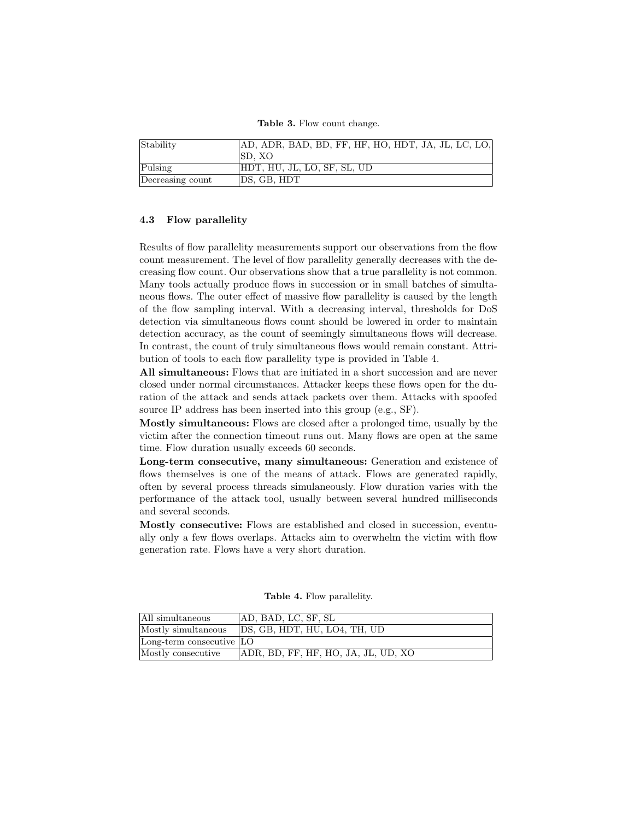Table 3. Flow count change.

| Stability        | AD, ADR, BAD, BD, FF, HF, HO, HDT, JA, JL, LC, LO, |
|------------------|----------------------------------------------------|
|                  | ISD. XO                                            |
| Pulsing          | HDT, HU, JL, LO, SF, SL, UD                        |
| Decreasing count | DS. GB. HDT                                        |

## 4.3 Flow parallelity

Results of flow parallelity measurements support our observations from the flow count measurement. The level of flow parallelity generally decreases with the decreasing flow count. Our observations show that a true parallelity is not common. Many tools actually produce flows in succession or in small batches of simultaneous flows. The outer effect of massive flow parallelity is caused by the length of the flow sampling interval. With a decreasing interval, thresholds for DoS detection via simultaneous flows count should be lowered in order to maintain detection accuracy, as the count of seemingly simultaneous flows will decrease. In contrast, the count of truly simultaneous flows would remain constant. Attribution of tools to each flow parallelity type is provided in Table 4.

All simultaneous: Flows that are initiated in a short succession and are never closed under normal circumstances. Attacker keeps these flows open for the duration of the attack and sends attack packets over them. Attacks with spoofed source IP address has been inserted into this group (e.g., SF).

Mostly simultaneous: Flows are closed after a prolonged time, usually by the victim after the connection timeout runs out. Many flows are open at the same time. Flow duration usually exceeds 60 seconds.

Long-term consecutive, many simultaneous: Generation and existence of flows themselves is one of the means of attack. Flows are generated rapidly, often by several process threads simulaneously. Flow duration varies with the performance of the attack tool, usually between several hundred milliseconds and several seconds.

Mostly consecutive: Flows are established and closed in succession, eventually only a few flows overlaps. Attacks aim to overwhelm the victim with flow generation rate. Flows have a very short duration.

| All simultaneous         | AD, BAD, LC, SF, SL                 |
|--------------------------|-------------------------------------|
| Mostly simultaneous      | DS, GB, HDT, HU, LO4, TH, UD        |
| Long-term consecutive LO |                                     |
| Mostly consecutive       | ADR, BD, FF, HF, HO, JA, JL, UD, XO |

Table 4. Flow parallelity.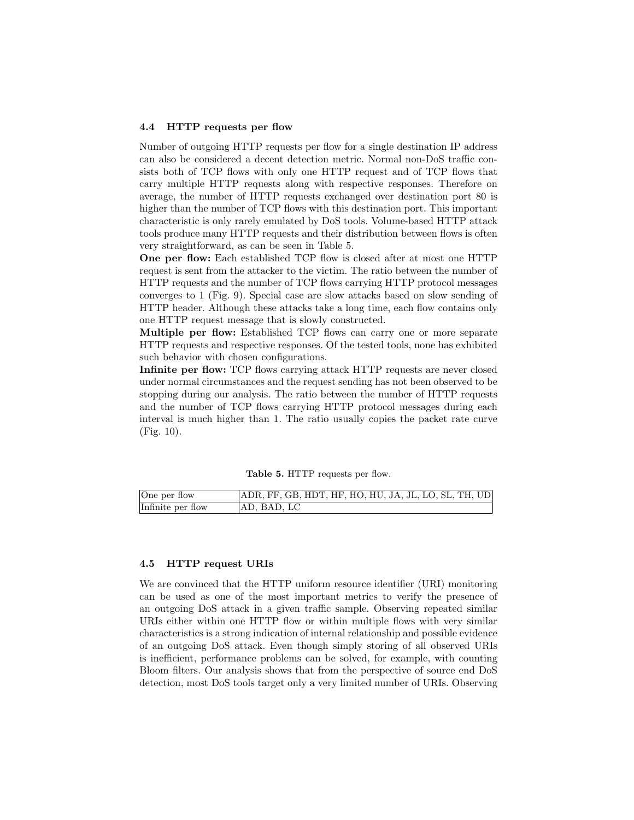#### 4.4 HTTP requests per flow

Number of outgoing HTTP requests per flow for a single destination IP address can also be considered a decent detection metric. Normal non-DoS traffic consists both of TCP flows with only one HTTP request and of TCP flows that carry multiple HTTP requests along with respective responses. Therefore on average, the number of HTTP requests exchanged over destination port 80 is higher than the number of TCP flows with this destination port. This important characteristic is only rarely emulated by DoS tools. Volume-based HTTP attack tools produce many HTTP requests and their distribution between flows is often very straightforward, as can be seen in Table 5.

One per flow: Each established TCP flow is closed after at most one HTTP request is sent from the attacker to the victim. The ratio between the number of HTTP requests and the number of TCP flows carrying HTTP protocol messages converges to 1 (Fig. 9). Special case are slow attacks based on slow sending of HTTP header. Although these attacks take a long time, each flow contains only one HTTP request message that is slowly constructed.

Multiple per flow: Established TCP flows can carry one or more separate HTTP requests and respective responses. Of the tested tools, none has exhibited such behavior with chosen configurations.

Infinite per flow: TCP flows carrying attack HTTP requests are never closed under normal circumstances and the request sending has not been observed to be stopping during our analysis. The ratio between the number of HTTP requests and the number of TCP flows carrying HTTP protocol messages during each interval is much higher than 1. The ratio usually copies the packet rate curve (Fig. 10).

Table 5. HTTP requests per flow.

| One per flow      | ADR, FF, GB, HDT, HF, HO, HU, JA, JL, LO, SL, TH, UD |
|-------------------|------------------------------------------------------|
| Infinite per flow | AD. BAD. LC                                          |

#### 4.5 HTTP request URIs

We are convinced that the HTTP uniform resource identifier (URI) monitoring can be used as one of the most important metrics to verify the presence of an outgoing DoS attack in a given traffic sample. Observing repeated similar URIs either within one HTTP flow or within multiple flows with very similar characteristics is a strong indication of internal relationship and possible evidence of an outgoing DoS attack. Even though simply storing of all observed URIs is inefficient, performance problems can be solved, for example, with counting Bloom filters. Our analysis shows that from the perspective of source end DoS detection, most DoS tools target only a very limited number of URIs. Observing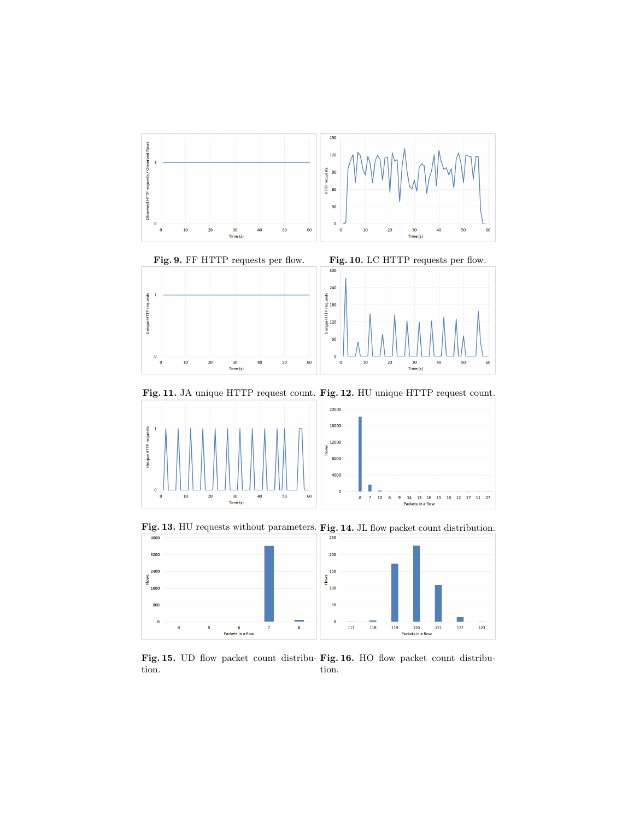

Fig. 11. JA unique HTTP request count. Fig. 12. HU unique HTTP request count.



Fig. 13. HU requests without parameters. Fig. 14. JL flow packet count distribution.



Fig. 15. UD flow packet count distribu- Fig. 16. HO flow packet count distribution. tion.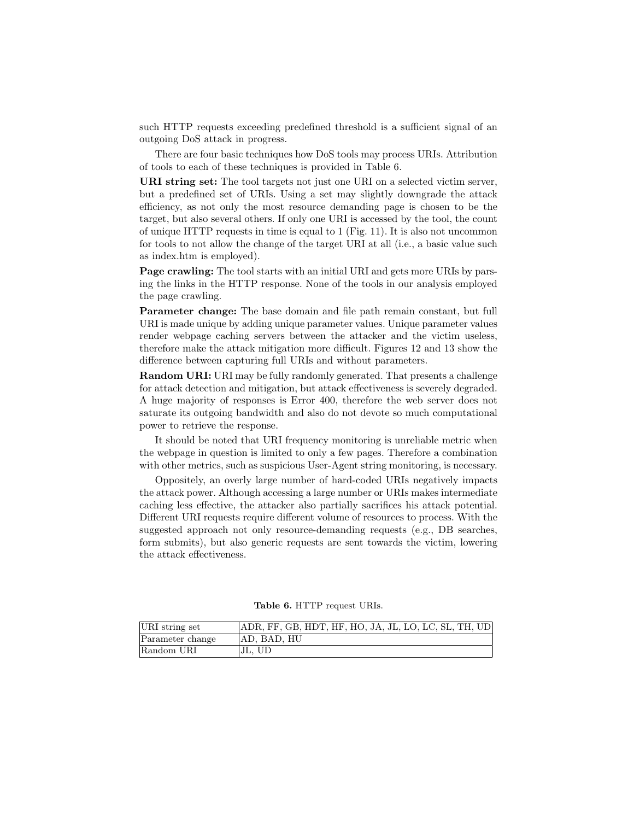such HTTP requests exceeding predefined threshold is a sufficient signal of an outgoing DoS attack in progress.

There are four basic techniques how DoS tools may process URIs. Attribution of tools to each of these techniques is provided in Table 6.

URI string set: The tool targets not just one URI on a selected victim server, but a predefined set of URIs. Using a set may slightly downgrade the attack efficiency, as not only the most resource demanding page is chosen to be the target, but also several others. If only one URI is accessed by the tool, the count of unique HTTP requests in time is equal to 1 (Fig. 11). It is also not uncommon for tools to not allow the change of the target URI at all (i.e., a basic value such as index.htm is employed).

Page crawling: The tool starts with an initial URI and gets more URIs by parsing the links in the HTTP response. None of the tools in our analysis employed the page crawling.

Parameter change: The base domain and file path remain constant, but full URI is made unique by adding unique parameter values. Unique parameter values render webpage caching servers between the attacker and the victim useless, therefore make the attack mitigation more difficult. Figures 12 and 13 show the difference between capturing full URIs and without parameters.

Random URI: URI may be fully randomly generated. That presents a challenge for attack detection and mitigation, but attack effectiveness is severely degraded. A huge majority of responses is Error 400, therefore the web server does not saturate its outgoing bandwidth and also do not devote so much computational power to retrieve the response.

It should be noted that URI frequency monitoring is unreliable metric when the webpage in question is limited to only a few pages. Therefore a combination with other metrics, such as suspicious User-Agent string monitoring, is necessary.

Oppositely, an overly large number of hard-coded URIs negatively impacts the attack power. Although accessing a large number or URIs makes intermediate caching less effective, the attacker also partially sacrifices his attack potential. Different URI requests require different volume of resources to process. With the suggested approach not only resource-demanding requests (e.g., DB searches, form submits), but also generic requests are sent towards the victim, lowering the attack effectiveness.

| URI string set   | ADR, FF, GB, HDT, HF, HO, JA, JL, LO, LC, SL, TH, UD |
|------------------|------------------------------------------------------|
| Parameter change | AD. BAD. HU                                          |
| Random URI       | JL, UD                                               |

Table 6. HTTP request URIs.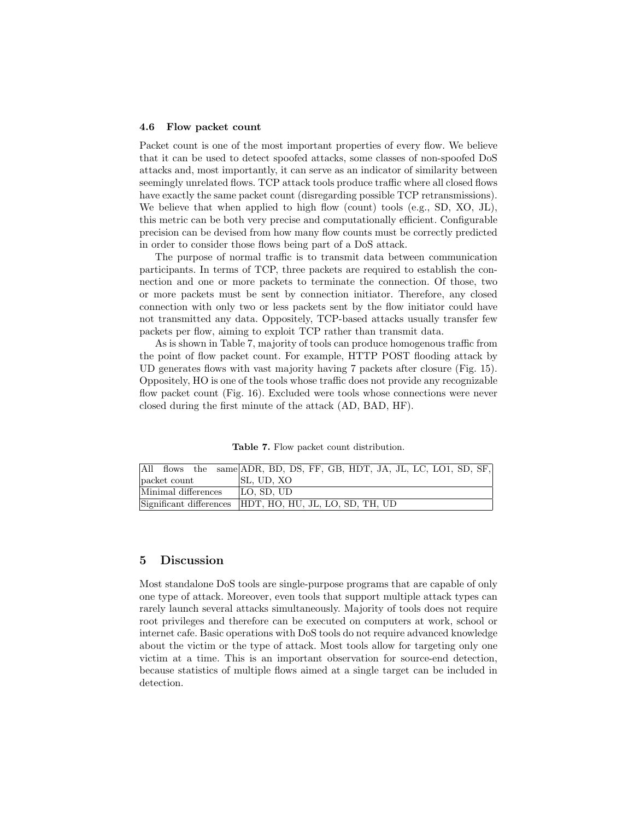#### 4.6 Flow packet count

Packet count is one of the most important properties of every flow. We believe that it can be used to detect spoofed attacks, some classes of non-spoofed DoS attacks and, most importantly, it can serve as an indicator of similarity between seemingly unrelated flows. TCP attack tools produce traffic where all closed flows have exactly the same packet count (disregarding possible TCP retransmissions). We believe that when applied to high flow (count) tools (e.g., SD, XO, JL), this metric can be both very precise and computationally efficient. Configurable precision can be devised from how many flow counts must be correctly predicted in order to consider those flows being part of a DoS attack.

The purpose of normal traffic is to transmit data between communication participants. In terms of TCP, three packets are required to establish the connection and one or more packets to terminate the connection. Of those, two or more packets must be sent by connection initiator. Therefore, any closed connection with only two or less packets sent by the flow initiator could have not transmitted any data. Oppositely, TCP-based attacks usually transfer few packets per flow, aiming to exploit TCP rather than transmit data.

As is shown in Table 7, majority of tools can produce homogenous traffic from the point of flow packet count. For example, HTTP POST flooding attack by UD generates flows with vast majority having 7 packets after closure (Fig. 15). Oppositely, HO is one of the tools whose traffic does not provide any recognizable flow packet count (Fig. 16). Excluded were tools whose connections were never closed during the first minute of the attack (AD, BAD, HF).

Table 7. Flow packet count distribution.

|                     | All flows the same ADR, BD, DS, FF, GB, HDT, JA, JL, LC, LO1, SD, SF, |
|---------------------|-----------------------------------------------------------------------|
| packet count        | ISL. UD. XO                                                           |
| Minimal differences | LO, SD, UD                                                            |
|                     | Significant differences HDT, HO, HU, JL, LO, SD, TH, UD               |

## 5 Discussion

Most standalone DoS tools are single-purpose programs that are capable of only one type of attack. Moreover, even tools that support multiple attack types can rarely launch several attacks simultaneously. Majority of tools does not require root privileges and therefore can be executed on computers at work, school or internet cafe. Basic operations with DoS tools do not require advanced knowledge about the victim or the type of attack. Most tools allow for targeting only one victim at a time. This is an important observation for source-end detection, because statistics of multiple flows aimed at a single target can be included in detection.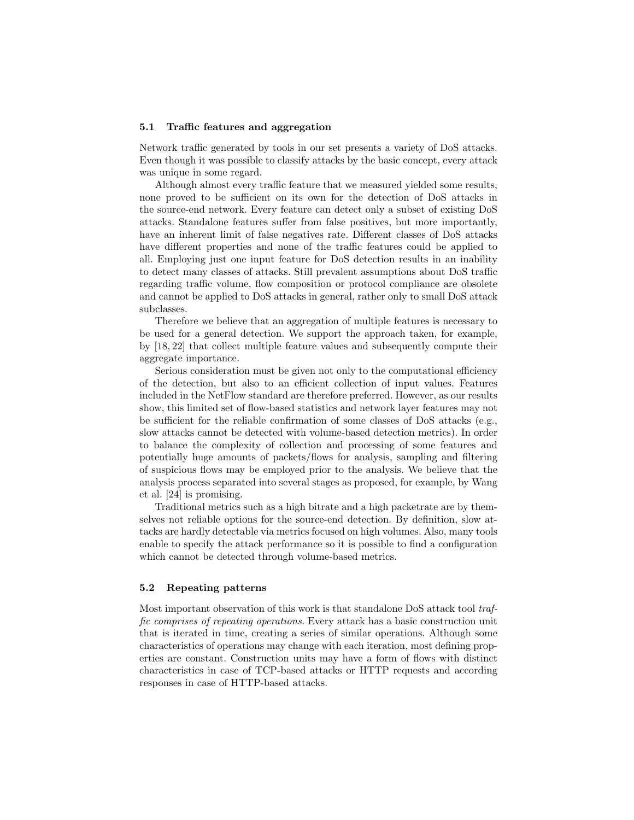#### 5.1 Traffic features and aggregation

Network traffic generated by tools in our set presents a variety of DoS attacks. Even though it was possible to classify attacks by the basic concept, every attack was unique in some regard.

Although almost every traffic feature that we measured yielded some results, none proved to be sufficient on its own for the detection of DoS attacks in the source-end network. Every feature can detect only a subset of existing DoS attacks. Standalone features suffer from false positives, but more importantly, have an inherent limit of false negatives rate. Different classes of DoS attacks have different properties and none of the traffic features could be applied to all. Employing just one input feature for DoS detection results in an inability to detect many classes of attacks. Still prevalent assumptions about DoS traffic regarding traffic volume, flow composition or protocol compliance are obsolete and cannot be applied to DoS attacks in general, rather only to small DoS attack subclasses.

Therefore we believe that an aggregation of multiple features is necessary to be used for a general detection. We support the approach taken, for example, by [18, 22] that collect multiple feature values and subsequently compute their aggregate importance.

Serious consideration must be given not only to the computational efficiency of the detection, but also to an efficient collection of input values. Features included in the NetFlow standard are therefore preferred. However, as our results show, this limited set of flow-based statistics and network layer features may not be sufficient for the reliable confirmation of some classes of DoS attacks (e.g., slow attacks cannot be detected with volume-based detection metrics). In order to balance the complexity of collection and processing of some features and potentially huge amounts of packets/flows for analysis, sampling and filtering of suspicious flows may be employed prior to the analysis. We believe that the analysis process separated into several stages as proposed, for example, by Wang et al. [24] is promising.

Traditional metrics such as a high bitrate and a high packetrate are by themselves not reliable options for the source-end detection. By definition, slow attacks are hardly detectable via metrics focused on high volumes. Also, many tools enable to specify the attack performance so it is possible to find a configuration which cannot be detected through volume-based metrics.

## 5.2 Repeating patterns

Most important observation of this work is that standalone DoS attack tool traffic comprises of repeating operations. Every attack has a basic construction unit that is iterated in time, creating a series of similar operations. Although some characteristics of operations may change with each iteration, most defining properties are constant. Construction units may have a form of flows with distinct characteristics in case of TCP-based attacks or HTTP requests and according responses in case of HTTP-based attacks.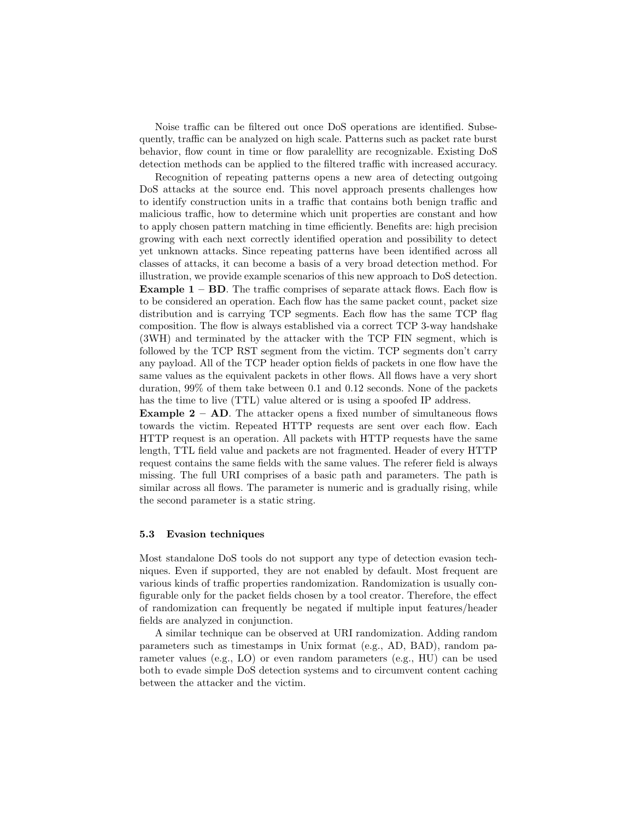Noise traffic can be filtered out once DoS operations are identified. Subsequently, traffic can be analyzed on high scale. Patterns such as packet rate burst behavior, flow count in time or flow paralellity are recognizable. Existing DoS detection methods can be applied to the filtered traffic with increased accuracy.

Recognition of repeating patterns opens a new area of detecting outgoing DoS attacks at the source end. This novel approach presents challenges how to identify construction units in a traffic that contains both benign traffic and malicious traffic, how to determine which unit properties are constant and how to apply chosen pattern matching in time efficiently. Benefits are: high precision growing with each next correctly identified operation and possibility to detect yet unknown attacks. Since repeating patterns have been identified across all classes of attacks, it can become a basis of a very broad detection method. For illustration, we provide example scenarios of this new approach to DoS detection. **Example 1 – BD.** The traffic comprises of separate attack flows. Each flow is to be considered an operation. Each flow has the same packet count, packet size distribution and is carrying TCP segments. Each flow has the same TCP flag composition. The flow is always established via a correct TCP 3-way handshake (3WH) and terminated by the attacker with the TCP FIN segment, which is followed by the TCP RST segment from the victim. TCP segments don't carry any payload. All of the TCP header option fields of packets in one flow have the same values as the equivalent packets in other flows. All flows have a very short duration, 99% of them take between 0.1 and 0.12 seconds. None of the packets has the time to live (TTL) value altered or is using a spoofed IP address.

**Example 2 – AD.** The attacker opens a fixed number of simultaneous flows towards the victim. Repeated HTTP requests are sent over each flow. Each HTTP request is an operation. All packets with HTTP requests have the same length, TTL field value and packets are not fragmented. Header of every HTTP request contains the same fields with the same values. The referer field is always missing. The full URI comprises of a basic path and parameters. The path is similar across all flows. The parameter is numeric and is gradually rising, while the second parameter is a static string.

## 5.3 Evasion techniques

Most standalone DoS tools do not support any type of detection evasion techniques. Even if supported, they are not enabled by default. Most frequent are various kinds of traffic properties randomization. Randomization is usually configurable only for the packet fields chosen by a tool creator. Therefore, the effect of randomization can frequently be negated if multiple input features/header fields are analyzed in conjunction.

A similar technique can be observed at URI randomization. Adding random parameters such as timestamps in Unix format (e.g., AD, BAD), random parameter values (e.g., LO) or even random parameters (e.g., HU) can be used both to evade simple DoS detection systems and to circumvent content caching between the attacker and the victim.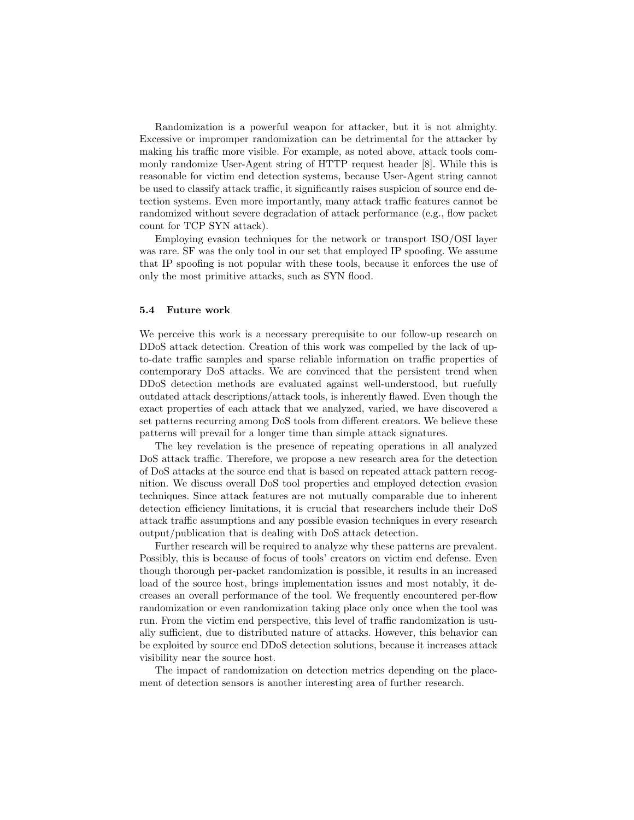Randomization is a powerful weapon for attacker, but it is not almighty. Excessive or impromper randomization can be detrimental for the attacker by making his traffic more visible. For example, as noted above, attack tools commonly randomize User-Agent string of HTTP request header [8]. While this is reasonable for victim end detection systems, because User-Agent string cannot be used to classify attack traffic, it significantly raises suspicion of source end detection systems. Even more importantly, many attack traffic features cannot be randomized without severe degradation of attack performance (e.g., flow packet count for TCP SYN attack).

Employing evasion techniques for the network or transport ISO/OSI layer was rare. SF was the only tool in our set that employed IP spoofing. We assume that IP spoofing is not popular with these tools, because it enforces the use of only the most primitive attacks, such as SYN flood.

#### 5.4 Future work

We perceive this work is a necessary prerequisite to our follow-up research on DDoS attack detection. Creation of this work was compelled by the lack of upto-date traffic samples and sparse reliable information on traffic properties of contemporary DoS attacks. We are convinced that the persistent trend when DDoS detection methods are evaluated against well-understood, but ruefully outdated attack descriptions/attack tools, is inherently flawed. Even though the exact properties of each attack that we analyzed, varied, we have discovered a set patterns recurring among DoS tools from different creators. We believe these patterns will prevail for a longer time than simple attack signatures.

The key revelation is the presence of repeating operations in all analyzed DoS attack traffic. Therefore, we propose a new research area for the detection of DoS attacks at the source end that is based on repeated attack pattern recognition. We discuss overall DoS tool properties and employed detection evasion techniques. Since attack features are not mutually comparable due to inherent detection efficiency limitations, it is crucial that researchers include their DoS attack traffic assumptions and any possible evasion techniques in every research output/publication that is dealing with DoS attack detection.

Further research will be required to analyze why these patterns are prevalent. Possibly, this is because of focus of tools' creators on victim end defense. Even though thorough per-packet randomization is possible, it results in an increased load of the source host, brings implementation issues and most notably, it decreases an overall performance of the tool. We frequently encountered per-flow randomization or even randomization taking place only once when the tool was run. From the victim end perspective, this level of traffic randomization is usually sufficient, due to distributed nature of attacks. However, this behavior can be exploited by source end DDoS detection solutions, because it increases attack visibility near the source host.

The impact of randomization on detection metrics depending on the placement of detection sensors is another interesting area of further research.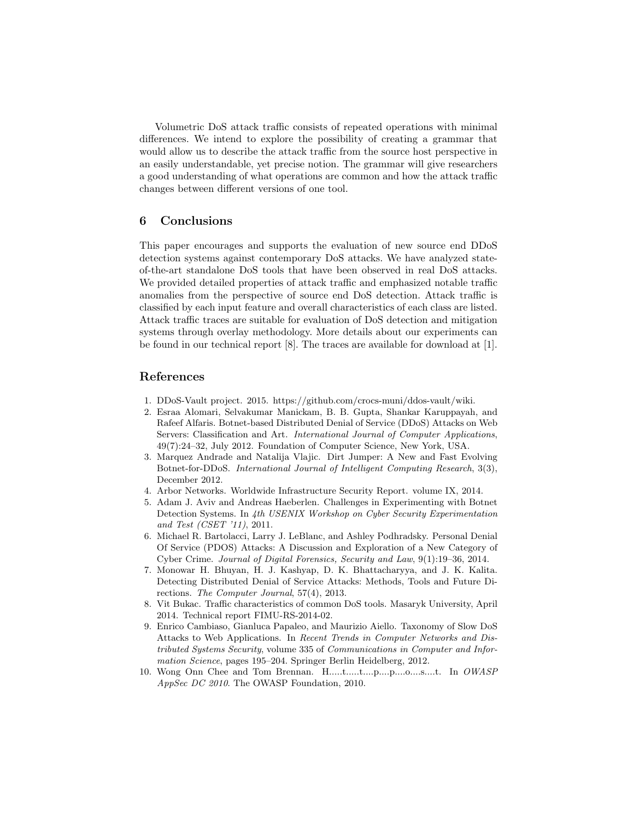Volumetric DoS attack traffic consists of repeated operations with minimal differences. We intend to explore the possibility of creating a grammar that would allow us to describe the attack traffic from the source host perspective in an easily understandable, yet precise notion. The grammar will give researchers a good understanding of what operations are common and how the attack traffic changes between different versions of one tool.

## 6 Conclusions

This paper encourages and supports the evaluation of new source end DDoS detection systems against contemporary DoS attacks. We have analyzed stateof-the-art standalone DoS tools that have been observed in real DoS attacks. We provided detailed properties of attack traffic and emphasized notable traffic anomalies from the perspective of source end DoS detection. Attack traffic is classified by each input feature and overall characteristics of each class are listed. Attack traffic traces are suitable for evaluation of DoS detection and mitigation systems through overlay methodology. More details about our experiments can be found in our technical report [8]. The traces are available for download at [1].

## References

- 1. DDoS-Vault project. 2015. https://github.com/crocs-muni/ddos-vault/wiki.
- 2. Esraa Alomari, Selvakumar Manickam, B. B. Gupta, Shankar Karuppayah, and Rafeef Alfaris. Botnet-based Distributed Denial of Service (DDoS) Attacks on Web Servers: Classification and Art. International Journal of Computer Applications, 49(7):24–32, July 2012. Foundation of Computer Science, New York, USA.
- 3. Marquez Andrade and Natalija Vlajic. Dirt Jumper: A New and Fast Evolving Botnet-for-DDoS. International Journal of Intelligent Computing Research, 3(3), December 2012.
- 4. Arbor Networks. Worldwide Infrastructure Security Report. volume IX, 2014.
- 5. Adam J. Aviv and Andreas Haeberlen. Challenges in Experimenting with Botnet Detection Systems. In 4th USENIX Workshop on Cyber Security Experimentation and Test (CSET '11), 2011.
- 6. Michael R. Bartolacci, Larry J. LeBlanc, and Ashley Podhradsky. Personal Denial Of Service (PDOS) Attacks: A Discussion and Exploration of a New Category of Cyber Crime. Journal of Digital Forensics, Security and Law, 9(1):19–36, 2014.
- 7. Monowar H. Bhuyan, H. J. Kashyap, D. K. Bhattacharyya, and J. K. Kalita. Detecting Distributed Denial of Service Attacks: Methods, Tools and Future Directions. The Computer Journal, 57(4), 2013.
- 8. Vit Bukac. Traffic characteristics of common DoS tools. Masaryk University, April 2014. Technical report FIMU-RS-2014-02.
- 9. Enrico Cambiaso, Gianluca Papaleo, and Maurizio Aiello. Taxonomy of Slow DoS Attacks to Web Applications. In Recent Trends in Computer Networks and Distributed Systems Security, volume 335 of Communications in Computer and Information Science, pages 195–204. Springer Berlin Heidelberg, 2012.
- 10. Wong Onn Chee and Tom Brennan. H.....t.....t....p....p....o....s....t. In OWASP AppSec DC 2010. The OWASP Foundation, 2010.